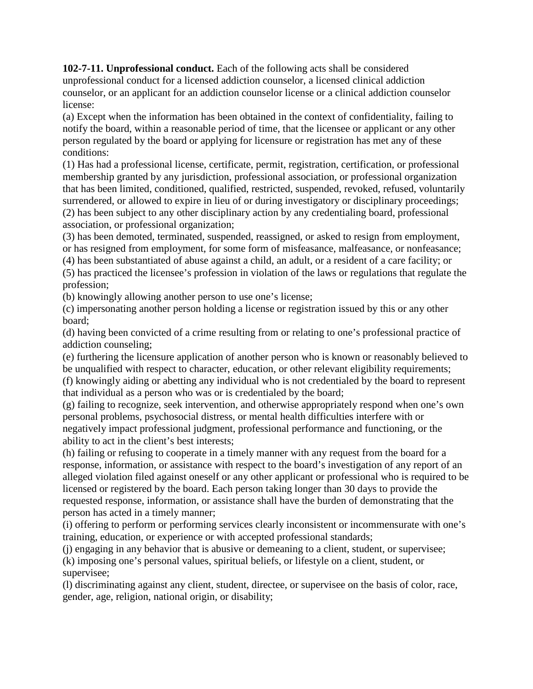**102-7-11. Unprofessional conduct.** Each of the following acts shall be considered unprofessional conduct for a licensed addiction counselor, a licensed clinical addiction counselor, or an applicant for an addiction counselor license or a clinical addiction counselor license:

(a) Except when the information has been obtained in the context of confidentiality, failing to notify the board, within a reasonable period of time, that the licensee or applicant or any other person regulated by the board or applying for licensure or registration has met any of these conditions:

(1) Has had a professional license, certificate, permit, registration, certification, or professional membership granted by any jurisdiction, professional association, or professional organization that has been limited, conditioned, qualified, restricted, suspended, revoked, refused, voluntarily surrendered, or allowed to expire in lieu of or during investigatory or disciplinary proceedings; (2) has been subject to any other disciplinary action by any credentialing board, professional association, or professional organization;

(3) has been demoted, terminated, suspended, reassigned, or asked to resign from employment, or has resigned from employment, for some form of misfeasance, malfeasance, or nonfeasance;

(4) has been substantiated of abuse against a child, an adult, or a resident of a care facility; or (5) has practiced the licensee's profession in violation of the laws or regulations that regulate the profession;

(b) knowingly allowing another person to use one's license;

(c) impersonating another person holding a license or registration issued by this or any other board;

(d) having been convicted of a crime resulting from or relating to one's professional practice of addiction counseling;

(e) furthering the licensure application of another person who is known or reasonably believed to be unqualified with respect to character, education, or other relevant eligibility requirements;

(f) knowingly aiding or abetting any individual who is not credentialed by the board to represent that individual as a person who was or is credentialed by the board;

(g) failing to recognize, seek intervention, and otherwise appropriately respond when one's own personal problems, psychosocial distress, or mental health difficulties interfere with or negatively impact professional judgment, professional performance and functioning, or the ability to act in the client's best interests;

(h) failing or refusing to cooperate in a timely manner with any request from the board for a response, information, or assistance with respect to the board's investigation of any report of an alleged violation filed against oneself or any other applicant or professional who is required to be licensed or registered by the board. Each person taking longer than 30 days to provide the requested response, information, or assistance shall have the burden of demonstrating that the person has acted in a timely manner;

(i) offering to perform or performing services clearly inconsistent or incommensurate with one's training, education, or experience or with accepted professional standards;

(j) engaging in any behavior that is abusive or demeaning to a client, student, or supervisee; (k) imposing one's personal values, spiritual beliefs, or lifestyle on a client, student, or supervisee;

(l) discriminating against any client, student, directee, or supervisee on the basis of color, race, gender, age, religion, national origin, or disability;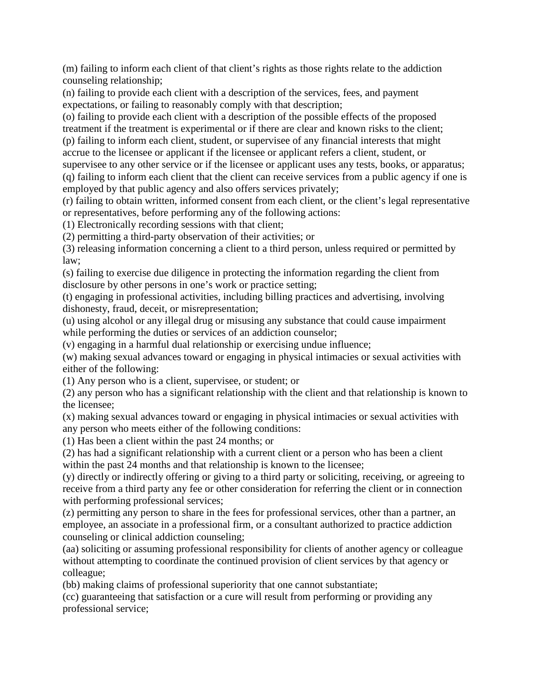(m) failing to inform each client of that client's rights as those rights relate to the addiction counseling relationship;

(n) failing to provide each client with a description of the services, fees, and payment expectations, or failing to reasonably comply with that description;

(o) failing to provide each client with a description of the possible effects of the proposed treatment if the treatment is experimental or if there are clear and known risks to the client; (p) failing to inform each client, student, or supervisee of any financial interests that might

accrue to the licensee or applicant if the licensee or applicant refers a client, student, or supervisee to any other service or if the licensee or applicant uses any tests, books, or apparatus; (q) failing to inform each client that the client can receive services from a public agency if one is employed by that public agency and also offers services privately;

(r) failing to obtain written, informed consent from each client, or the client's legal representative or representatives, before performing any of the following actions:

(1) Electronically recording sessions with that client;

(2) permitting a third-party observation of their activities; or

(3) releasing information concerning a client to a third person, unless required or permitted by law;

(s) failing to exercise due diligence in protecting the information regarding the client from disclosure by other persons in one's work or practice setting;

(t) engaging in professional activities, including billing practices and advertising, involving dishonesty, fraud, deceit, or misrepresentation;

(u) using alcohol or any illegal drug or misusing any substance that could cause impairment while performing the duties or services of an addiction counselor;

(v) engaging in a harmful dual relationship or exercising undue influence;

(w) making sexual advances toward or engaging in physical intimacies or sexual activities with either of the following:

(1) Any person who is a client, supervisee, or student; or

(2) any person who has a significant relationship with the client and that relationship is known to the licensee;

(x) making sexual advances toward or engaging in physical intimacies or sexual activities with any person who meets either of the following conditions:

(1) Has been a client within the past 24 months; or

(2) has had a significant relationship with a current client or a person who has been a client within the past 24 months and that relationship is known to the licensee;

(y) directly or indirectly offering or giving to a third party or soliciting, receiving, or agreeing to receive from a third party any fee or other consideration for referring the client or in connection with performing professional services;

(z) permitting any person to share in the fees for professional services, other than a partner, an employee, an associate in a professional firm, or a consultant authorized to practice addiction counseling or clinical addiction counseling;

(aa) soliciting or assuming professional responsibility for clients of another agency or colleague without attempting to coordinate the continued provision of client services by that agency or colleague;

(bb) making claims of professional superiority that one cannot substantiate;

(cc) guaranteeing that satisfaction or a cure will result from performing or providing any professional service;